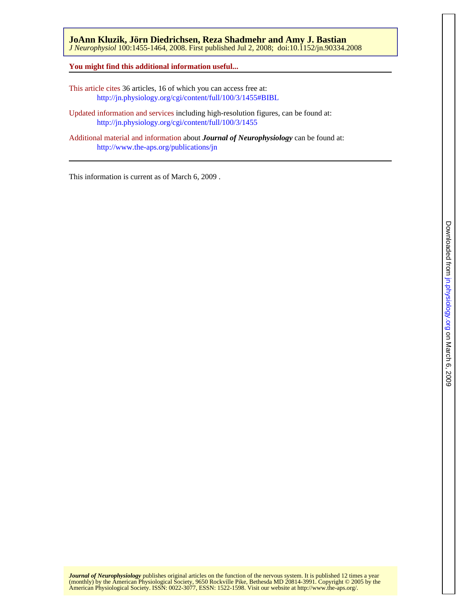**You might find this additional information useful...**

This article cites 36 articles, 16 of which you can access free at: <http://jn.physiology.org/cgi/content/full/100/3/1455#BIBL>

Updated information and services including high-resolution figures, can be found at: <http://jn.physiology.org/cgi/content/full/100/3/1455>

Additional material and information about *Journal of Neurophysiology* can be found at: <http://www.the-aps.org/publications/jn>

This information is current as of March 6, 2009 .

American Physiological Society. ISSN: 0022-3077, ESSN: 1522-1598. Visit our website at [http://www.the-aps.org/.](http://www.the-aps.org/) (monthly) by the American Physiological Society, 9650 Rockville Pike, Bethesda MD 20814-3991. Copyright © 2005 by the *Journal of Neurophysiology* publishes original articles on the function of the nervous system. It is published 12 times a year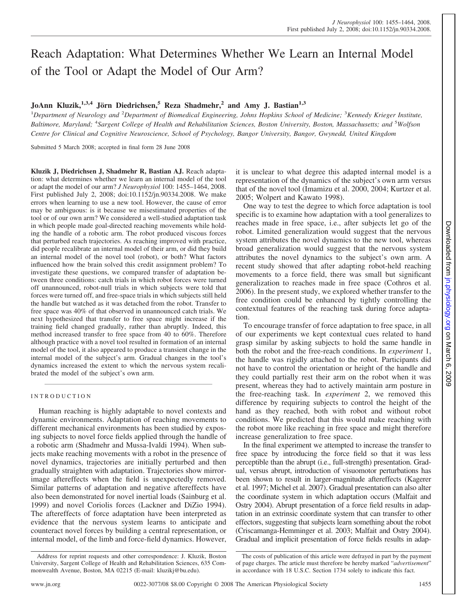# Reach Adaptation: What Determines Whether We Learn an Internal Model of the Tool or Adapt the Model of Our Arm?

# **JoAnn Kluzik**,<sup>1,3,4</sup> **Jörn Diedrichsen**,<sup>5</sup> **Reza Shadmehr**,<sup>2</sup> and Amy J. Bastian<sup>1,3</sup>

<sup>1</sup>Department of Neurology and <sup>2</sup>Department of Biomedical Engineering, Johns Hopkins School of Medicine; <sup>3</sup>Kennedy Krieger Institute, *Baltimore, Maryland;* <sup>4</sup> *Sargent College of Health and Rehabilitation Sciences, Boston University, Boston, Massachusetts; and* <sup>5</sup> *Wolfson Centre for Clinical and Cognitive Neuroscience, School of Psychology, Bangor University, Bangor, Gwynedd, United Kingdom*

Submitted 5 March 2008; accepted in final form 28 June 2008

**Kluzik J, Diedrichsen J, Shadmehr R, Bastian AJ.** Reach adaptation: what determines whether we learn an internal model of the tool or adapt the model of our arm? *J Neurophysiol* 100: 1455–1464, 2008. First published July 2, 2008; doi:10.1152/jn.90334.2008. We make errors when learning to use a new tool. However, the cause of error may be ambiguous: is it because we misestimated properties of the tool or of our own arm? We considered a well-studied adaptation task in which people made goal-directed reaching movements while holding the handle of a robotic arm. The robot produced viscous forces that perturbed reach trajectories. As reaching improved with practice, did people recalibrate an internal model of their arm, or did they build an internal model of the novel tool (robot), or both? What factors influenced how the brain solved this credit assignment problem? To investigate these questions, we compared transfer of adaptation between three conditions: catch trials in which robot forces were turned off unannounced, robot-null trials in which subjects were told that forces were turned off, and free-space trials in which subjects still held the handle but watched as it was detached from the robot. Transfer to free space was 40% of that observed in unannounced catch trials. We next hypothesized that transfer to free space might increase if the training field changed gradually, rather than abruptly. Indeed, this method increased transfer to free space from 40 to 60%. Therefore although practice with a novel tool resulted in formation of an internal model of the tool, it also appeared to produce a transient change in the internal model of the subject's arm. Gradual changes in the tool's dynamics increased the extent to which the nervous system recalibrated the model of the subject's own arm.

# INTRODUCTION

Human reaching is highly adaptable to novel contexts and dynamic environments. Adaptation of reaching movements to different mechanical environments has been studied by exposing subjects to novel force fields applied through the handle of a robotic arm (Shadmehr and Mussa-Ivaldi 1994). When subjects make reaching movements with a robot in the presence of novel dynamics, trajectories are initially perturbed and then gradually straighten with adaptation. Trajectories show mirrorimage aftereffects when the field is unexpectedly removed. Similar patterns of adaptation and negative aftereffects have also been demonstrated for novel inertial loads (Sainburg et al. 1999) and novel Coriolis forces (Lackner and DiZio 1994). The aftereffects of force adaptation have been interpreted as evidence that the nervous system learns to anticipate and counteract novel forces by building a central representation, or internal model, of the limb and force-field dynamics. However,

it is unclear to what degree this adapted internal model is a representation of the dynamics of the subject's own arm versus that of the novel tool (Imamizu et al. 2000, 2004; Kurtzer et al. 2005; Wolpert and Kawato 1998).

One way to test the degree to which force adaptation is tool specific is to examine how adaptation with a tool generalizes to reaches made in free space, i.e., after subjects let go of the robot. Limited generalization would suggest that the nervous system attributes the novel dynamics to the new tool, whereas broad generalization would suggest that the nervous system attributes the novel dynamics to the subject's own arm. A recent study showed that after adapting robot-held reaching movements to a force field, there was small but significant generalization to reaches made in free space (Cothros et al. 2006). In the present study, we explored whether transfer to the free condition could be enhanced by tightly controlling the contextual features of the reaching task during force adaptation.

To encourage transfer of force adaptation to free space, in all of our experiments we kept contextual cues related to hand grasp similar by asking subjects to hold the same handle in both the robot and the free-reach conditions. In *experiment* 1, the handle was rigidly attached to the robot. Participants did not have to control the orientation or height of the handle and they could partially rest their arm on the robot when it was present, whereas they had to actively maintain arm posture in the free-reaching task. In *experiment* 2, we removed this difference by requiring subjects to control the height of the hand as they reached, both with robot and without robot conditions. We predicted that this would make reaching with the robot more like reaching in free space and might therefore increase generalization to free space.

In the final experiment we attempted to increase the transfer to free space by introducing the force field so that it was less perceptible than the abrupt (i.e., full-strength) presentation. Gradual, versus abrupt, introduction of visuomotor perturbations has been shown to result in larger-magnitude aftereffects (Kagerer et al. 1997; Michel et al. 2007). Gradual presentation can also alter the coordinate system in which adaptation occurs (Malfait and Ostry 2004). Abrupt presentation of a force field results in adaptation in an extrinsic coordinate system that can transfer to other effectors, suggesting that subjects learn something about the robot (Criscamanga-Hemminger et al. 2003; Malfait and Ostry 2004). Gradual and implicit presentation of force fields results in adap-

Address for reprint requests and other correspondence: J. Kluzik, Boston University, Sargent College of Health and Rehabilitation Sciences, 635 Commonwealth Avenue, Boston, MA 02215 (E-mail: kluzikj@bu.edu).

Downloaded from jn.physiology.org on March 6, Downloadedfrom [jn.physiology.org](http://jn.physiology.org) on March 6, 2009 5002

The costs of publication of this article were defrayed in part by the payment of page charges. The article must therefore be hereby marked "*advertisement*" in accordance with 18 U.S.C. Section 1734 solely to indicate this fact.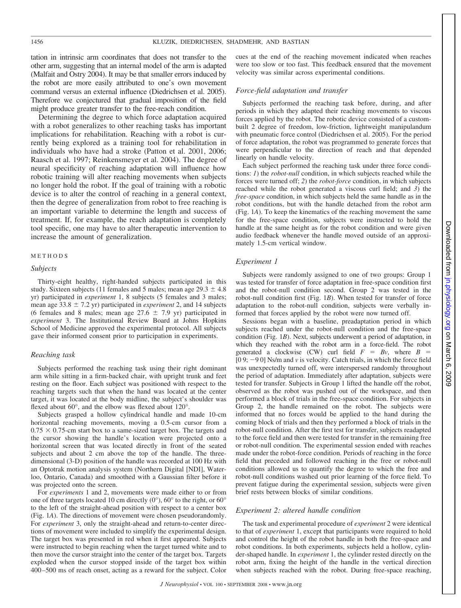tation in intrinsic arm coordinates that does not transfer to the other arm, suggesting that an internal model of the arm is adapted (Malfait and Ostry 2004). It may be that smaller errors induced by the robot are more easily attributed to one's own movement command versus an external influence (Diedrichsen et al. 2005). Therefore we conjectured that gradual imposition of the field might produce greater transfer to the free-reach condition.

Determining the degree to which force adaptation acquired with a robot generalizes to other reaching tasks has important implications for rehabilitation. Reaching with a robot is currently being explored as a training tool for rehabilitation in individuals who have had a stroke (Patton et al. 2001, 2006; Raasch et al. 1997; Reinkensmeyer et al. 2004). The degree of neural specificity of reaching adaptation will influence how robotic training will alter reaching movements when subjects no longer hold the robot. If the goal of training with a robotic device is to alter the control of reaching in a general context, then the degree of generalization from robot to free reaching is an important variable to determine the length and success of treatment. If, for example, the reach adaptation is completely tool specific, one may have to alter therapeutic intervention to increase the amount of generalization.

#### METHODS

#### *Subjects*

Thirty-eight healthy, right-handed subjects participated in this study. Sixteen subjects (11 females and 5 males; mean age  $29.3 \pm 4.8$ ) yr) participated in *experiment* 1, 8 subjects (5 females and 3 males; mean age  $33.8 \pm 7.2$  yr) participated in *experiment* 2, and 14 subjects (6 females and 8 males; mean age  $27.6 \pm 7.9$  yr) participated in *experiment* 3. The Institutional Review Board at Johns Hopkins School of Medicine approved the experimental protocol. All subjects gave their informed consent prior to participation in experiments.

#### *Reaching task*

Subjects performed the reaching task using their right dominant arm while sitting in a firm-backed chair, with upright trunk and feet resting on the floor. Each subject was positioned with respect to the reaching targets such that when the hand was located at the center target, it was located at the body midline, the subject's shoulder was flexed about 60°, and the elbow was flexed about 120°.

Subjects grasped a hollow cylindrical handle and made 10-cm horizontal reaching movements, moving a 0.5-cm cursor from a  $0.75 \times 0.75$ -cm start box to a same-sized target box. The targets and the cursor showing the handle's location were projected onto a horizontal screen that was located directly in front of the seated subjects and about 2 cm above the top of the handle. The threedimensional (3-D) position of the handle was recorded at 100 Hz with an Optotrak motion analysis system (Northern Digital [NDI], Waterloo, Ontario, Canada) and smoothed with a Gaussian filter before it was projected onto the screen.

For *experiments* 1 and 2, movements were made either to or from one of three targets located 10 cm directly  $(0^{\circ})$ ,  $60^{\circ}$  to the right, or  $60^{\circ}$ to the left of the straight-ahead position with respect to a center box (Fig. 1*A*). The directions of movement were chosen pseudorandomly. For *experiment* 3, only the straight-ahead and return-to-center directions of movement were included to simplify the experimental design. The target box was presented in red when it first appeared. Subjects were instructed to begin reaching when the target turned white and to then move the cursor straight into the center of the target box. Targets exploded when the cursor stopped inside of the target box within 400 –500 ms of reach onset, acting as a reward for the subject. Color

cues at the end of the reaching movement indicated when reaches were too slow or too fast. This feedback ensured that the movement velocity was similar across experimental conditions.

#### *Force-field adaptation and transfer*

Subjects performed the reaching task before, during, and after periods in which they adapted their reaching movements to viscous forces applied by the robot. The robotic device consisted of a custombuilt 2 degree of freedom, low-friction, lightweight manipulandum with pneumatic force control (Diedrichsen et al. 2005). For the period of force adaptation, the robot was programmed to generate forces that were perpendicular to the direction of reach and that depended linearly on handle velocity.

Each subject performed the reaching task under three force conditions: *1*) the *robot-null* condition, in which subjects reached while the forces were turned off; *2*) the *robot-force* condition, in which subjects reached while the robot generated a viscous curl field; and *3*) the *free-space* condition, in which subjects held the same handle as in the robot conditions, but with the handle detached from the robot arm (Fig. 1*A*). To keep the kinematics of the reaching movement the same for the free-space condition, subjects were instructed to hold the handle at the same height as for the robot condition and were given audio feedback whenever the handle moved outside of an approximately 1.5-cm vertical window.

#### *Experiment 1*

Subjects were randomly assigned to one of two groups: Group 1 was tested for transfer of force adaptation in free-space condition first and the robot-null condition second. Group 2 was tested in the robot-null condition first (Fig. 1*B*). When tested for transfer of force adaptation to the robot-null condition, subjects were verbally informed that forces applied by the robot were now turned off.

Sessions began with a baseline, preadaptation period in which subjects reached under the robot-null condition and the free-space condition (Fig. 1*B*). Next, subjects underwent a period of adaptation, in which they reached with the robot arm in a force-field. The robot generated a clockwise (CW) curl field  $F = Bv$ , where  $B =$  $[09; -90]$  Ns/m and *v* is velocity. Catch trials, in which the force field was unexpectedly turned off, were interspersed randomly throughout the period of adaptation. Immediately after adaptation, subjects were tested for transfer. Subjects in Group 1 lifted the handle off the robot, observed as the robot was pushed out of the workspace, and then performed a block of trials in the free-space condition. For subjects in Group 2, the handle remained on the robot. The subjects were informed that no forces would be applied to the hand during the coming block of trials and then they performed a block of trials in the robot-null condition. After the first test for transfer, subjects readapted to the force field and then were tested for transfer in the remaining free or robot-null condition. The experimental session ended with reaches made under the robot-force condition. Periods of reaching in the force field that preceded and followed reaching in the free or robot-null conditions allowed us to quantify the degree to which the free and robot-null conditions washed out prior learning of the force field. To prevent fatigue during the experimental session, subjects were given brief rests between blocks of similar conditions.

#### *Experiment 2: altered handle condition*

The task and experimental procedure of *experiment* 2 were identical to that of *experiment* 1, except that participants were required to hold and control the height of the robot handle in both the free-space and robot conditions. In both experiments, subjects held a hollow, cylinder-shaped handle. In *experiment* 1, the cylinder rested directly on the robot arm, fixing the height of the handle in the vertical direction when subjects reached with the robot. During free-space reaching,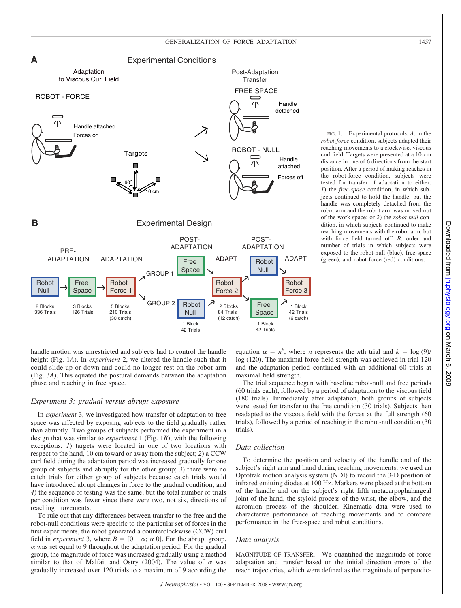

handle motion was unrestricted and subjects had to control the handle height (Fig. 1*A*). In *experiment* 2, we altered the handle such that it could slide up or down and could no longer rest on the robot arm (Fig. 3*A*). This equated the postural demands between the adaptation phase and reaching in free space.

# *Experiment 3: gradual versus abrupt exposure*

In *experiment* 3, we investigated how transfer of adaptation to free space was affected by exposing subjects to the field gradually rather than abruptly. Two groups of subjects performed the experiment in a design that was similar to *experiment* 1 (Fig. 1*B*), with the following exceptions: *1*) targets were located in one of two locations with respect to the hand, 10 cm toward or away from the subject; *2*) a CCW curl field during the adaptation period was increased gradually for one group of subjects and abruptly for the other group; *3*) there were no catch trials for either group of subjects because catch trials would have introduced abrupt changes in force to the gradual condition; and *4*) the sequence of testing was the same, but the total number of trials per condition was fewer since there were two, not six, directions of reaching movements.

To rule out that any differences between transfer to the free and the robot-null conditions were specific to the particular set of forces in the first experiments, the robot generated a counterclockwise (CCW) curl field in *experiment* 3, where  $B = [0 - \alpha; \alpha]$ . For the abrupt group,  $\alpha$  was set equal to 9 throughout the adaptation period. For the gradual group, the magnitude of force was increased gradually using a method similar to that of Malfait and Ostry (2004). The value of  $\alpha$  was gradually increased over 120 trials to a maximum of 9 according the

equation  $\alpha = n^k$ , where *n* represents the *n*th trial and  $k = \log(9)$ / log (120). The maximal force-field strength was achieved in trial 120 and the adaptation period continued with an additional 60 trials at maximal field strength.

The trial sequence began with baseline robot-null and free periods (60 trials each), followed by a period of adaptation to the viscous field (180 trials). Immediately after adaptation, both groups of subjects were tested for transfer to the free condition (30 trials). Subjects then readapted to the viscous field with the forces at the full strength (60 trials), followed by a period of reaching in the robot-null condition (30 trials).

#### *Data collection*

To determine the position and velocity of the handle and of the subject's right arm and hand during reaching movements, we used an Optotrak motion analysis system (NDI) to record the 3-D position of infrared emitting diodes at 100 Hz. Markers were placed at the bottom of the handle and on the subject's right fifth metacarpophalangeal joint of the hand, the styloid process of the wrist, the elbow, and the acromion process of the shoulder. Kinematic data were used to characterize performance of reaching movements and to compare performance in the free-space and robot conditions.

#### *Data analysis*

MAGNITUDE OF TRANSFER. We quantified the magnitude of force adaptation and transfer based on the initial direction errors of the reach trajectories, which were defined as the magnitude of perpendic-

FIG. 1. Experimental protocols. *A*: in the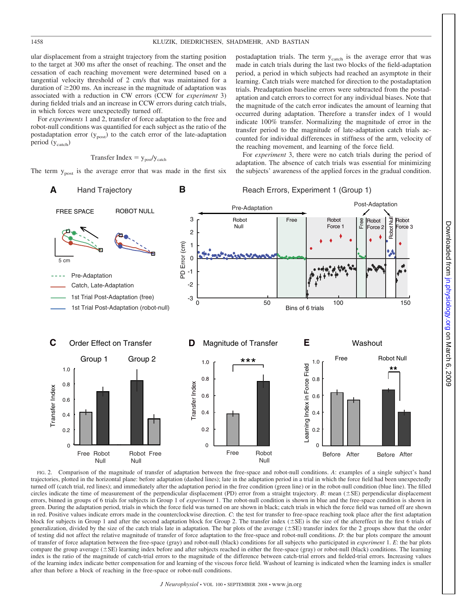ular displacement from a straight trajectory from the starting position to the target at 300 ms after the onset of reaching. The onset and the cessation of each reaching movement were determined based on a tangential velocity threshold of 2 cm/s that was maintained for a duration of  $\geq$ 200 ms. An increase in the magnitude of adaptation was associated with a reduction in CW errors (CCW for *experiment* 3) during fielded trials and an increase in CCW errors during catch trials, in which forces were unexpectedly turned off.

For *experiments* 1 and 2, transfer of force adaptation to the free and robot-null conditions was quantified for each subject as the ratio of the postadaptation error  $(y_{post})$  to the catch error of the late-adaptation period  $(y_{\text{catch}})$ 

# Transfer Index =  $y_{post}/y_{catch}$

The term  $y<sub>post</sub>$  is the average error that was made in the first six

postadaptation trials. The term  $y<sub>catch</sub>$  is the average error that was made in catch trials during the last two blocks of the field-adaptation period, a period in which subjects had reached an asymptote in their learning. Catch trials were matched for direction to the postadaptation trials. Preadaptation baseline errors were subtracted from the postadaptation and catch errors to correct for any individual biases. Note that the magnitude of the catch error indicates the amount of learning that occurred during adaptation. Therefore a transfer index of 1 would indicate 100% transfer. Normalizing the magnitude of error in the transfer period to the magnitude of late-adaptation catch trials accounted for individual differences in stiffness of the arm, velocity of the reaching movement, and learning of the force field.

For *experiment* 3, there were no catch trials during the period of adaptation. The absence of catch trials was essential for minimizing the subjects' awareness of the applied forces in the gradual condition.



FIG. 2. Comparison of the magnitude of transfer of adaptation between the free-space and robot-null conditions. *A*: examples of a single subject's hand trajectories, plotted in the horizontal plane: before adaptation (dashed lines); late in the adaptation period in a trial in which the force field had been unexpectedly turned off (catch trial, red lines); and immediately after the adaptation period in the free condition (green line) or in the robot-null condition (blue line). The filled circles indicate the time of measurement of the perpendicular displacement (PD) error from a straight trajectory.  $B$ : mean  $(\pm SE)$  perpendicular displacement errors, binned in groups of 6 trials for subjects in Group 1 of *experiment* 1. The robot-null condition is shown in blue and the free-space condition is shown in green. During the adaptation period, trials in which the force field was turned on are shown in black; catch trials in which the force field was turned off are shown in red. Positive values indicate errors made in the counterclockwise direction. *C*: the test for transfer to free-space reaching took place after the first adaptation block for subjects in Group 1 and after the second adaptation block for Group 2. The transfer index  $(\pm SE)$  is the size of the aftereffect in the first 6 trials of generalization, divided by the size of the catch trials late in adaptation. The bar plots of the average  $(\pm SE)$  transfer index for the 2 groups show that the order of testing did not affect the relative magnitude of transfer of force adaptation to the free-space and robot-null conditions. *D*: the bar plots compare the amount of transfer of force adaptation between the free-space (gray) and robot-null (black) conditions for all subjects who participated in *experiment* 1. *E*: the bar plots compare the group average  $(\pm SE)$  learning index before and after subjects reached in either the free-space (gray) or robot-null (black) conditions. The learning index is the ratio of the magnitude of catch-trial errors to the magnitude of the difference between catch-trial errors and fielded-trial errors. Increasing values of the learning index indicate better compensation for and learning of the viscous force field. Washout of learning is indicated when the learning index is smaller after than before a block of reaching in the free-space or robot-null conditions.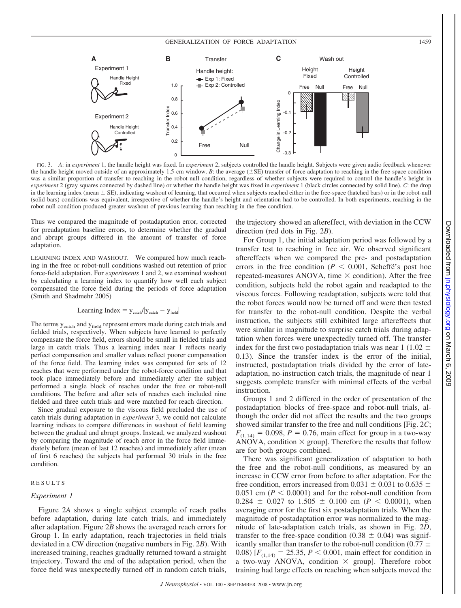

FIG. 3. *A*: in *experiment* 1, the handle height was fixed. In *experiment* 2, subjects controlled the handle height. Subjects were given audio feedback whenever the handle height moved outside of an approximately 1.5-cm window.  $B$ : the average  $(\pm SE)$  transfer of force adaptation to reaching in the free-space condition was a similar proportion of transfer to reaching in the robot-null condition, regardless of whether subjects were required to control the handle's height in *experiment* 2 (gray squares connected by dashed line) or whether the handle height was fixed in *experiment* 1 (black circles connected by solid line). *C*: the drop in the learning index (mean  $\pm$  SE), indicating washout of learning, that occurred when subjects reached either in the free-space (hatched bars) or in the robot-null (solid bars) conditions was equivalent, irrespective of whether the handle's height and orientation had to be controlled. In both experiments, reaching in the robot-null condition produced greater washout of previous learning than reaching in the free condition.

Thus we compared the magnitude of postadaptation error, corrected for preadaptation baseline errors, to determine whether the gradual and abrupt groups differed in the amount of transfer of force adaptation.

LEARNING INDEX AND WASHOUT. We compared how much reaching in the free or robot-null conditions washed out retention of prior force-field adaptation. For *experiments* 1 and 2, we examined washout by calculating a learning index to quantify how well each subject compensated the force field during the periods of force adaptation (Smith and Shadmehr 2005)

# Learning Index =  $y_{\text{catch}}/|y_{\text{catch}} - y_{\text{field}}|$

The terms  $y<sub>catch</sub>$  and  $y<sub>field</sub>$  represent errors made during catch trials and fielded trials, respectively. When subjects have learned to perfectly compensate the force field, errors should be small in fielded trials and large in catch trials. Thus a learning index near 1 reflects nearly perfect compensation and smaller values reflect poorer compensation of the force field. The learning index was computed for sets of 12 reaches that were performed under the robot-force condition and that took place immediately before and immediately after the subject performed a single block of reaches under the free or robot-null conditions. The before and after sets of reaches each included nine fielded and three catch trials and were matched for reach direction.

Since gradual exposure to the viscous field precluded the use of catch trials during adaptation in *experiment* 3, we could not calculate learning indices to compare differences in washout of field learning between the gradual and abrupt groups. Instead, we analyzed washout by comparing the magnitude of reach error in the force field immediately before (mean of last 12 reaches) and immediately after (mean of first 6 reaches) the subjects had performed 30 trials in the free condition.

#### RESULTS

#### *Experiment 1*

Figure 2*A* shows a single subject example of reach paths before adaptation, during late catch trials, and immediately after adaptation. Figure 2*B* shows the averaged reach errors for Group 1. In early adaptation, reach trajectories in field trials deviated in a CW direction (negative numbers in Fig. 2*B*). With increased training, reaches gradually returned toward a straight trajectory. Toward the end of the adaptation period, when the force field was unexpectedly turned off in random catch trials,

the trajectory showed an aftereffect, with deviation in the CCW direction (red dots in Fig. 2*B*).

For Group 1, the initial adaptation period was followed by a transfer test to reaching in free air. We observed significant aftereffects when we compared the pre- and postadaptation errors in the free condition ( $P \le 0.001$ , Scheffe's post hoc repeated-measures ANOVA, time  $\times$  condition). After the free condition, subjects held the robot again and readapted to the viscous forces. Following readaptation, subjects were told that the robot forces would now be turned off and were then tested for transfer to the robot-null condition. Despite the verbal instruction, the subjects still exhibited large aftereffects that were similar in magnitude to surprise catch trials during adaptation when forces were unexpectedly turned off. The transfer index for the first two postadaptation trials was near 1 (1.02  $\pm$ 0.13). Since the transfer index is the error of the initial, instructed, postadaptation trials divided by the error of lateadaptation, no-instruction catch trials, the magnitude of near 1 suggests complete transfer with minimal effects of the verbal instruction.

Groups 1 and 2 differed in the order of presentation of the postadaptation blocks of free-space and robot-null trials, although the order did not affect the results and the two groups showed similar transfer to the free and null conditions [Fig. 2*C*;  $F_{(1,14)} = 0.098$ ,  $P = 0.76$ , main effect for group in a two-way ANOVA, condition  $\times$  group]. Therefore the results that follow are for both groups combined.

There was significant generalization of adaptation to both the free and the robot-null conditions, as measured by an increase in CCW error from before to after adaptation. For the free condition, errors increased from 0.031  $\pm$  0.031 to 0.635  $\pm$ 0.051 cm  $(P < 0.0001)$  and for the robot-null condition from  $0.284 \pm 0.027$  to 1.505  $\pm$  0.100 cm (*P* < 0.0001), when averaging error for the first six postadaptation trials. When the magnitude of postadaptation error was normalized to the magnitude of late-adaptation catch trials, as shown in Fig. 2*D*, transfer to the free-space condition (0.38  $\pm$  0.04) was significantly smaller than transfer to the robot-null condition (0.77  $\pm$ 0.08)  $[F_{(1,14)} = 25.35, P \le 0.001, \text{ main effect for condition in}$ a two-way ANOVA, condition  $\times$  group]. Therefore robot training had large effects on reaching when subjects moved the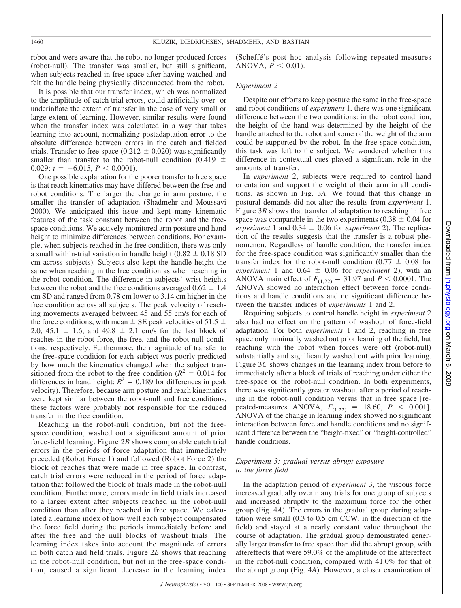robot and were aware that the robot no longer produced forces (robot-null). The transfer was smaller, but still significant, when subjects reached in free space after having watched and felt the handle being physically disconnected from the robot.

It is possible that our transfer index, which was normalized to the amplitude of catch trial errors, could artificially over- or underinflate the extent of transfer in the case of very small or large extent of learning. However, similar results were found when the transfer index was calculated in a way that takes learning into account, normalizing postadaptation error to the absolute difference between errors in the catch and fielded trials. Transfer to free space  $(0.212 \pm 0.020)$  was significantly smaller than transfer to the robot-null condition (0.419  $\pm$ 0.029;  $t = -6.015$ ,  $P < 0.0001$ ).

One possible explanation for the poorer transfer to free space is that reach kinematics may have differed between the free and robot conditions. The larger the change in arm posture, the smaller the transfer of adaptation (Shadmehr and Moussavi 2000). We anticipated this issue and kept many kinematic features of the task constant between the robot and the freespace conditions. We actively monitored arm posture and hand height to minimize differences between conditions. For example, when subjects reached in the free condition, there was only a small within-trial variation in handle height ( $0.82 \pm 0.18$  SD cm across subjects). Subjects also kept the handle height the same when reaching in the free condition as when reaching in the robot condition. The difference in subjects' wrist heights between the robot and the free conditions averaged  $0.62 \pm 1.4$ cm SD and ranged from 0.78 cm lower to 3.14 cm higher in the free condition across all subjects. The peak velocity of reaching movements averaged between 45 and 55 cm/s for each of the force conditions, with mean  $\pm$  SE peak velocities of 51.5  $\pm$ 2.0, 45.1  $\pm$  1.6, and 49.8  $\pm$  2.1 cm/s for the last block of reaches in the robot-force, the free, and the robot-null conditions, respectively. Furthermore, the magnitude of transfer to the free-space condition for each subject was poorly predicted by how much the kinematics changed when the subject transitioned from the robot to the free condition ( $R^2 = 0.014$  for differences in hand height;  $R^2 = 0.189$  for differences in peak velocity). Therefore, because arm posture and reach kinematics were kept similar between the robot-null and free conditions, these factors were probably not responsible for the reduced transfer in the free condition.

Reaching in the robot-null condition, but not the freespace condition, washed out a significant amount of prior force-field learning. Figure 2*B* shows comparable catch trial errors in the periods of force adaptation that immediately preceded (Robot Force 1) and followed (Robot Force 2) the block of reaches that were made in free space. In contrast, catch trial errors were reduced in the period of force adaptation that followed the block of trials made in the robot-null condition. Furthermore, errors made in field trials increased to a larger extent after subjects reached in the robot-null condition than after they reached in free space. We calculated a learning index of how well each subject compensated the force field during the periods immediately before and after the free and the null blocks of washout trials. The learning index takes into account the magnitude of errors in both catch and field trials. Figure 2*E* shows that reaching in the robot-null condition, but not in the free-space condition, caused a significant decrease in the learning index

(Scheffe´'s post hoc analysis following repeated-measures ANOVA,  $P < 0.01$ ).

# *Experiment 2*

Despite our efforts to keep posture the same in the free-space and robot conditions of *experiment* 1, there was one significant difference between the two conditions: in the robot condition, the height of the hand was determined by the height of the handle attached to the robot and some of the weight of the arm could be supported by the robot. In the free-space condition, this task was left to the subject. We wondered whether this difference in contextual cues played a significant role in the amounts of transfer.

In *experiment* 2, subjects were required to control hand orientation and support the weight of their arm in all conditions, as shown in Fig. 3*A*. We found that this change in postural demands did not alter the results from *experiment* 1. Figure 3*B* shows that transfer of adaptation to reaching in free space was comparable in the two experiments (0.38  $\pm$  0.04 for *experiment* 1 and  $0.34 \pm 0.06$  for *experiment* 2). The replication of the results suggests that the transfer is a robust phenomenon. Regardless of handle condition, the transfer index for the free-space condition was significantly smaller than the transfer index for the robot-null condition (0.77  $\pm$  0.08 for *experiment* 1 and  $0.64 \pm 0.06$  for *experiment* 2), with an ANOVA main effect of  $F_{(1,22)} = 31.97$  and  $P < 0.0001$ . The ANOVA showed no interaction effect between force conditions and handle conditions and no significant difference between the transfer indices of *experiments* 1 and 2.

Requiring subjects to control handle height in *experiment* 2 also had no effect on the pattern of washout of force-field adaptation. For both *experiments* 1 and 2, reaching in free space only minimally washed out prior learning of the field, but reaching with the robot when forces were off (robot-null) substantially and significantly washed out with prior learning. Figure 3*C* shows changes in the learning index from before to immediately after a block of trials of reaching under either the free-space or the robot-null condition. In both experiments, there was significantly greater washout after a period of reaching in the robot-null condition versus that in free space [repeated-measures ANOVA,  $F_{(1,22)} = 18.60, P < 0.001$ . ANOVA of the change in learning index showed no significant interaction between force and handle conditions and no significant difference between the "height-fixed" or "height-controlled" handle conditions.

#### *Experiment 3: gradual versus abrupt exposure to the force field*

In the adaptation period of *experiment* 3, the viscous force increased gradually over many trials for one group of subjects and increased abruptly to the maximum force for the other group (Fig. 4*A*). The errors in the gradual group during adaptation were small (0.3 to 0.5 cm CCW, in the direction of the field) and stayed at a nearly constant value throughout the course of adaptation. The gradual group demonstrated generally larger transfer to free space than did the abrupt group, with aftereffects that were 59.0% of the amplitude of the aftereffect in the robot-null condition, compared with 41.0% for that of the abrupt group (Fig. 4*A*). However, a closer examination of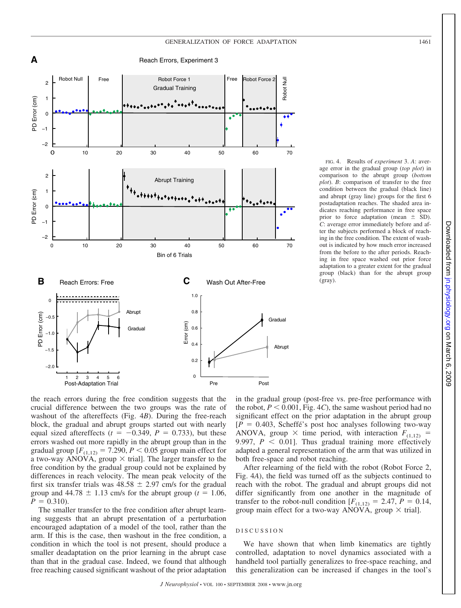

FIG. 4. Results of *experiment* 3. *A*: average error in the gradual group (*top plot*) in comparison to the abrupt group (*bottom plot*). *B*: comparison of transfer to the free condition between the gradual (black line) and abrupt (gray line) groups for the first 6 postadaptation reaches. The shaded area indicates reaching performance in free space prior to force adaptation (mean  $\pm$  SD). *C*: average error immediately before and after the subjects performed a block of reaching in the free condition. The extent of washout is indicated by how much error increased from the before to the after periods. Reaching in free space washed out prior force adaptation to a greater extent for the gradual group (black) than for the abrupt group (gray).

Downloaded from jn.physiology.org on March 6, 2009 Downloadedfrom [jn.physiology.org](http://jn.physiology.org) on March 6, 2009

the reach errors during the free condition suggests that the crucial difference between the two groups was the rate of washout of the aftereffects (Fig. 4*B*). During the free-reach block, the gradual and abrupt groups started out with nearly equal sized aftereffects  $(t = -0.349, P = 0.733)$ , but these errors washed out more rapidly in the abrupt group than in the gradual group  $[F_{(1,12)} = 7.290, P < 0.05$  group main effect for a two-way ANOVA, group  $\times$  trial]. The larger transfer to the free condition by the gradual group could not be explained by differences in reach velocity. The mean peak velocity of the first six transfer trials was  $48.58 \pm 2.97$  cm/s for the gradual group and  $44.78 \pm 1.13$  cm/s for the abrupt group ( $t = 1.06$ ,  $\bar{P} = 0.310$ .

The smaller transfer to the free condition after abrupt learning suggests that an abrupt presentation of a perturbation encouraged adaptation of a model of the tool, rather than the arm. If this is the case, then washout in the free condition, a condition in which the tool is not present, should produce a smaller deadaptation on the prior learning in the abrupt case than that in the gradual case. Indeed, we found that although free reaching caused significant washout of the prior adaptation in the gradual group (post-free vs. pre-free performance with the robot,  $P \le 0.001$ , Fig. 4*C*), the same washout period had no significant effect on the prior adaptation in the abrupt group  $[P = 0.403,$  Scheffe's post hoc analyses following two-way ANOVA, group  $\times$  time period, with interaction  $F_{(1,12)} =$ 9.997,  $P \le 0.01$ ]. Thus gradual training more effectively adapted a general representation of the arm that was utilized in both free-space and robot reaching.

After relearning of the field with the robot (Robot Force 2, Fig. 4*A*), the field was turned off as the subjects continued to reach with the robot. The gradual and abrupt groups did not differ significantly from one another in the magnitude of transfer to the robot-null condition  $[F_{(1,12)} = 2.47, P = 0.14,$ group main effect for a two-way ANOVA, group  $\times$  trial].

#### DISCUSSION

We have shown that when limb kinematics are tightly controlled, adaptation to novel dynamics associated with a handheld tool partially generalizes to free-space reaching, and this generalization can be increased if changes in the tool's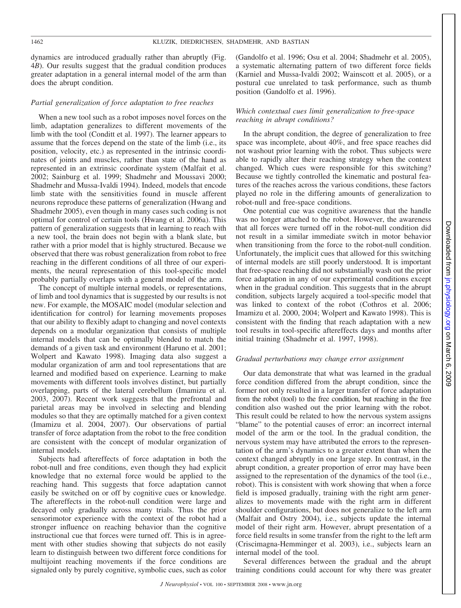dynamics are introduced gradually rather than abruptly (Fig. 4*B*). Our results suggest that the gradual condition produces greater adaptation in a general internal model of the arm than does the abrupt condition.

#### *Partial generalization of force adaptation to free reaches*

When a new tool such as a robot imposes novel forces on the limb, adaptation generalizes to different movements of the limb with the tool (Conditt et al. 1997). The learner appears to assume that the forces depend on the state of the limb (i.e., its position, velocity, etc.) as represented in the intrinsic coordinates of joints and muscles, rather than state of the hand as represented in an extrinsic coordinate system (Malfait et al. 2002; Sainburg et al. 1999; Shadmehr and Moussavi 2000; Shadmehr and Mussa-Ivaldi 1994). Indeed, models that encode limb state with the sensitivities found in muscle afferent neurons reproduce these patterns of generalization (Hwang and Shadmehr 2005), even though in many cases such coding is not optimal for control of certain tools (Hwang et al. 2006a). This pattern of generalization suggests that in learning to reach with a new tool, the brain does not begin with a blank slate, but rather with a prior model that is highly structured. Because we observed that there was robust generalization from robot to free reaching in the different conditions of all three of our experiments, the neural representation of this tool-specific model probably partially overlaps with a general model of the arm.

The concept of multiple internal models, or representations, of limb and tool dynamics that is suggested by our results is not new. For example, the MOSAIC model (modular selection and identification for control) for learning movements proposes that our ability to flexibly adapt to changing and novel contexts depends on a modular organization that consists of multiple internal models that can be optimally blended to match the demands of a given task and environment (Haruno et al. 2001; Wolpert and Kawato 1998). Imaging data also suggest a modular organization of arm and tool representations that are learned and modified based on experience. Learning to make movements with different tools involves distinct, but partially overlapping, parts of the lateral cerebellum (Imamizu et al. 2003, 2007). Recent work suggests that the prefrontal and parietal areas may be involved in selecting and blending modules so that they are optimally matched for a given context (Imamizu et al. 2004, 2007). Our observations of partial transfer of force adaptation from the robot to the free condition are consistent with the concept of modular organization of internal models.

Subjects had aftereffects of force adaptation in both the robot-null and free conditions, even though they had explicit knowledge that no external force would be applied to the reaching hand. This suggests that force adaptation cannot easily be switched on or off by cognitive cues or knowledge. The aftereffects in the robot-null condition were large and decayed only gradually across many trials. Thus the prior sensorimotor experience with the context of the robot had a stronger influence on reaching behavior than the cognitive instructional cue that forces were turned off. This is in agreement with other studies showing that subjects do not easily learn to distinguish between two different force conditions for multijoint reaching movements if the force conditions are signaled only by purely cognitive, symbolic cues, such as color (Gandolfo et al. 1996; Osu et al. 2004; Shadmehr et al. 2005), a systematic alternating pattern of two different force fields (Karniel and Mussa-Ivaldi 2002; Wainscott et al. 2005), or a postural cue unrelated to task performance, such as thumb position (Gandolfo et al. 1996).

#### *Which contextual cues limit generalization to free-space reaching in abrupt conditions?*

In the abrupt condition, the degree of generalization to free space was incomplete, about 40%, and free space reaches did not washout prior learning with the robot. Thus subjects were able to rapidly alter their reaching strategy when the context changed. Which cues were responsible for this switching? Because we tightly controlled the kinematic and postural features of the reaches across the various conditions, these factors played no role in the differing amounts of generalization to robot-null and free-space conditions.

One potential cue was cognitive awareness that the handle was no longer attached to the robot. However, the awareness that all forces were turned off in the robot-null condition did not result in a similar immediate switch in motor behavior when transitioning from the force to the robot-null condition. Unfortunately, the implicit cues that allowed for this switching of internal models are still poorly understood. It is important that free-space reaching did not substantially wash out the prior force adaptation in any of our experimental conditions except when in the gradual condition. This suggests that in the abrupt condition, subjects largely acquired a tool-specific model that was linked to context of the robot (Cothros et al. 2006; Imamizu et al. 2000, 2004; Wolpert and Kawato 1998). This is consistent with the finding that reach adaptation with a new tool results in tool-specific aftereffects days and months after initial training (Shadmehr et al. 1997, 1998).

# *Gradual perturbations may change error assignment*

Our data demonstrate that what was learned in the gradual force condition differed from the abrupt condition, since the former not only resulted in a larger transfer of force adaptation from the robot (tool) to the free condition, but reaching in the free condition also washed out the prior learning with the robot. This result could be related to how the nervous system assigns "blame" to the potential causes of error: an incorrect internal model of the arm or the tool. In the gradual condition, the nervous system may have attributed the errors to the representation of the arm's dynamics to a greater extent than when the context changed abruptly in one large step. In contrast, in the abrupt condition, a greater proportion of error may have been assigned to the representation of the dynamics of the tool (i.e., robot). This is consistent with work showing that when a force field is imposed gradually, training with the right arm generalizes to movements made with the right arm in different shoulder configurations, but does not generalize to the left arm (Malfait and Ostry 2004), i.e., subjects update the internal model of their right arm. However, abrupt presentation of a force field results in some transfer from the right to the left arm (Criscimagna-Hemminger et al. 2003), i.e., subjects learn an internal model of the tool.

Several differences between the gradual and the abrupt training conditions could account for why there was greater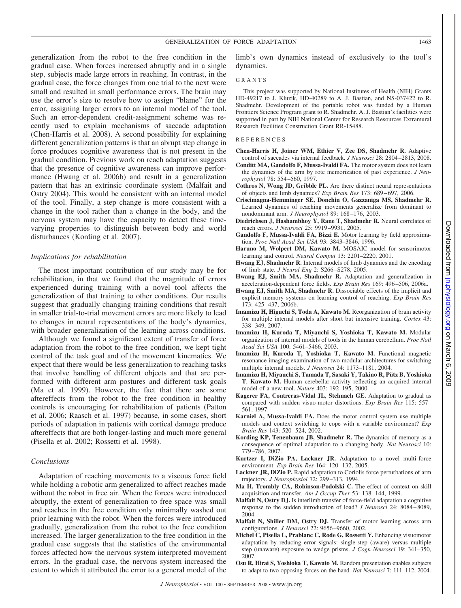generalization from the robot to the free condition in the gradual case. When forces increased abruptly and in a single step, subjects made large errors in reaching. In contrast, in the gradual case, the force changes from one trial to the next were small and resulted in small performance errors. The brain may use the error's size to resolve how to assign "blame" for the error, assigning larger errors to an internal model of the tool. Such an error-dependent credit-assignment scheme was recently used to explain mechanisms of saccade adaptation (Chen-Harris et al. 2008). A second possibility for explaining different generalization patterns is that an abrupt step change in force produces cognitive awareness that is not present in the gradual condition. Previous work on reach adaptation suggests that the presence of cognitive awareness can improve performance (Hwang et al. 2006b) and result in a generalization pattern that has an extrinsic coordinate system (Malfait and Ostry 2004). This would be consistent with an internal model of the tool. Finally, a step change is more consistent with a change in the tool rather than a change in the body, and the nervous system may have the capacity to detect these timevarying properties to distinguish between body and world disturbances (Kording et al. 2007).

# *Implications for rehabilitation*

The most important contribution of our study may be for rehabilitation, in that we found that the magnitude of errors experienced during training with a novel tool affects the generalization of that training to other conditions. Our results suggest that gradually changing training conditions that result in smaller trial-to-trial movement errors are more likely to lead to changes in neural representations of the body's dynamics, with broader generalization of the learning across conditions.

Although we found a significant extent of transfer of force adaptation from the robot to the free condition, we kept tight control of the task goal and of the movement kinematics. We expect that there would be less generalization to reaching tasks that involve handling of different objects and that are performed with different arm postures and different task goals (Ma et al. 1999). However, the fact that there are some aftereffects from the robot to the free condition in healthy controls is encouraging for rehabilitation of patients (Patton et al. 2006; Raasch et al. 1997) because, in some cases, short periods of adaptation in patients with cortical damage produce aftereffects that are both longer-lasting and much more general (Pisella et al. 2002; Rossetti et al. 1998).

#### *Conclusions*

Adaptation of reaching movements to a viscous force field while holding a robotic arm generalized to affect reaches made without the robot in free air. When the forces were introduced abruptly, the extent of generalization to free space was small and reaches in the free condition only minimally washed out prior learning with the robot. When the forces were introduced gradually, generalization from the robot to the free condition increased. The larger generalization to the free condition in the gradual case suggests that the statistics of the environmental forces affected how the nervous system interpreted movement errors. In the gradual case, the nervous system increased the extent to which it attributed the error to a general model of the

limb's own dynamics instead of exclusively to the tool's dynamics.

#### GRANTS

This project was supported by National Institutes of Health (NIH) Grants HD-49217 to J. Kluzik, HD-40289 to A. J. Bastian, and NS-037422 to R. Shadmehr. Development of the portable robot was funded by a Human Frontiers Science Program grant to R. Shadmehr. A. J. Bastian's facilities were supported in part by NIH National Center for Research Resources Extramural Research Facilities Construction Grant RR-15488.

#### **REFERENCES**

- **Chen-Harris H, Joiner WM, Ethier V, Zee DS, Shadmehr R.** Adaptive control of saccades via internal feedback. *J Neurosci* 28: 2804 –2813, 2008.
- **Conditt MA, Gandolfo F, Mussa-Ivaldi FA.** The motor system does not learn the dynamics of the arm by rote memorization of past experience. *J Neurophysiol* 78: 554 –560, 1997.
- **Cothros N, Wong JD, Gribble PL.** Are there distinct neural representations of objects and limb dynamics? *Exp Brain Res* 173: 689 – 697, 2006.
- **Criscimagna-Hemminger SE, Donchin O, Gazzaniga MS, Shadmehr R.** Learned dynamics of reaching movements generalize from dominant to nondominant arm. *J Neurophysiol* 89: 168 –176, 2003.
- **Diedrichsen J, Hashambhoy Y, Rane T, Shadmehr R.** Neural correlates of reach errors. *J Neurosci* 25: 9919 –9931, 2005.
- **Gandolfo F, Mussa-Ivaldi FA, Bizzi E.** Motor learning by field approximation. *Proc Natl Acad Sci USA* 93: 3843–3846, 1996.
- **Haruno M, Wolpert DM, Kawato M.** MOSAIC model for sensorimotor learning and control. *Neural Comput* 13: 2201–2220, 2001.
- **Hwang EJ, Shadmehr R.** Internal models of limb dynamics and the encoding of limb state. *J Neural Eng* 2: S266 –S278, 2005.
- **Hwang EJ, Smith MA, Shadmehr R.** Adaptation and generalization in acceleration-dependent force fields. *Exp Brain Res* 169: 496 –506, 2006a.
- **Hwang EJ, Smith MA, Shadmehr R.** Dissociable effects of the implicit and explicit memory systems on learning control of reaching. *Exp Brain Res* 173: 425– 437, 2006b.
- **Imamizu H, Higuchi S, Toda A, Kawato M.** Reorganization of brain activity for multiple internal models after short but intensive training. *Cortex* 43: 338 –349, 2007.
- **Imamizu H, Kuroda T, Miyauchi S, Yoshioka T, Kawato M.** Modular organization of internal models of tools in the human cerebellum. *Proc Natl Acad Sci USA* 100: 5461–5466, 2003.
- **Imamizu H, Kuroda T, Yoshioka T, Kawato M.** Functional magnetic resonance imaging examination of two modular architectures for switching multiple internal models. *J Neurosci* 24: 1173–1181, 2004.
- Imamizu H, Miyauchi S, Tamada T, Sasaki Y, Takino R, Pütz B, Yoshioka **T**, **Kawato M.** Human cerebellar activity reflecting an acquired internal model of a new tool. *Nature* 403: 192–195, 2000.
- **Kagerer FA, Contreras-Vidal JL**, **Stelmach GE.** Adaptation to gradual as compared with sudden visuo-motor distortions. *Exp Brain Res* 115: 557– 561, 1997.
- **Karniel A, Mussa-Ivaldi FA.** Does the motor control system use multiple models and context switching to cope with a variable environment? *Exp Brain Res* 143: 520 –524, 2002.
- **Kording KP, Tenenbaum JB, Shadmehr R.** The dynamics of memory as a consequence of optimal adaptation to a changing body. *Nat Neurosci* 10: 779 –786, 2007.
- **Kurtzer I, DiZio PA, Lackner JR.** Adaptation to a novel multi-force environment. *Exp Brain Res* 164: 120-132, 2005.
- **Lackner JR, DiZio P.** Rapid adaptation to Coriolis force perturbations of arm trajectory. *J Neurophysiol* 72: 299 –313, 1994.
- **Ma H, Trombly CA, Robinson-Podolski C.** The effect of context on skill acquisition and transfer. *Am J Occup Ther* 53: 138 –144, 1999.
- **Malfait N, Ostry DJ.** Is interlimb transfer of force-field adaptation a cognitive response to the sudden introduction of load? *J Neurosci* 24: 8084 – 8089, 2004.
- **Malfait N, Shiller DM, Ostry DJ.** Transfer of motor learning across arm configurations. *J Neurosci* 22: 9656 –9660, 2002.
- **Michel C, Pisella L, Prablanc C, Rode G, Rossetti Y.** Enhancing visuomotor adaptation by reducing error signals: single-step (aware) versus multiple step (unaware) exposure to wedge prisms. *J Cogn Neurosci* 19: 341–350, 2007.
- **Osu R, Hirai S, Yoshioka T, Kawato M.** Random presentation enables subjects to adapt to two opposing forces on the hand. *Nat Neurosci* 7: 111–112, 2004.